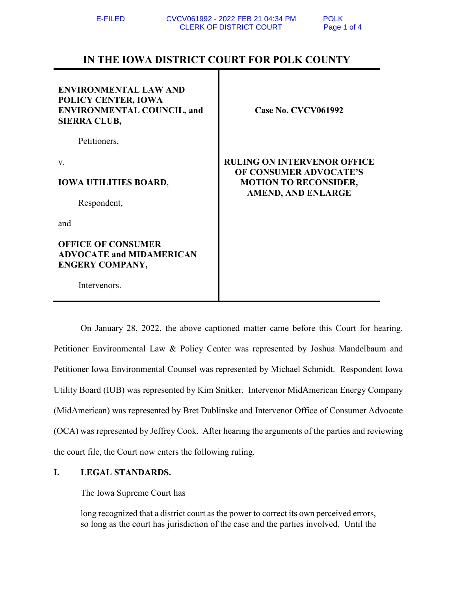# **IN THE IOWA DISTRICT COURT FOR POLK COUNTY**

| <b>ENVIRONMENTAL LAW AND</b><br>POLICY CENTER, IOWA<br><b>ENVIRONMENTAL COUNCIL, and</b><br><b>SIERRA CLUB,</b> | <b>Case No. CVCV061992</b>                             |  |
|-----------------------------------------------------------------------------------------------------------------|--------------------------------------------------------|--|
| Petitioners,                                                                                                    |                                                        |  |
| V.                                                                                                              | <b>RULING ON INTERVENOR OFFICE</b>                     |  |
| <b>IOWA UTILITIES BOARD,</b>                                                                                    | OF CONSUMER ADVOCATE'S<br><b>MOTION TO RECONSIDER,</b> |  |
| Respondent,                                                                                                     | <b>AMEND, AND ENLARGE</b>                              |  |
| and                                                                                                             |                                                        |  |
| <b>OFFICE OF CONSUMER</b><br><b>ADVOCATE and MIDAMERICAN</b><br><b>ENGERY COMPANY,</b>                          |                                                        |  |
| Intervenors.                                                                                                    |                                                        |  |

On January 28, 2022, the above captioned matter came before this Court for hearing. Petitioner Environmental Law & Policy Center was represented by Joshua Mandelbaum and Petitioner Iowa Environmental Counsel was represented by Michael Schmidt. Respondent Iowa Utility Board (IUB) was represented by Kim Snitker. Intervenor MidAmerican Energy Company (MidAmerican) was represented by Bret Dublinske and Intervenor Office of Consumer Advocate (OCA) was represented by Jeffrey Cook. After hearing the arguments of the parties and reviewing the court file, the Court now enters the following ruling.

## **I. LEGAL STANDARDS.**

The Iowa Supreme Court has

long recognized that a district court as the power to correct its own perceived errors, so long as the court has jurisdiction of the case and the parties involved. Until the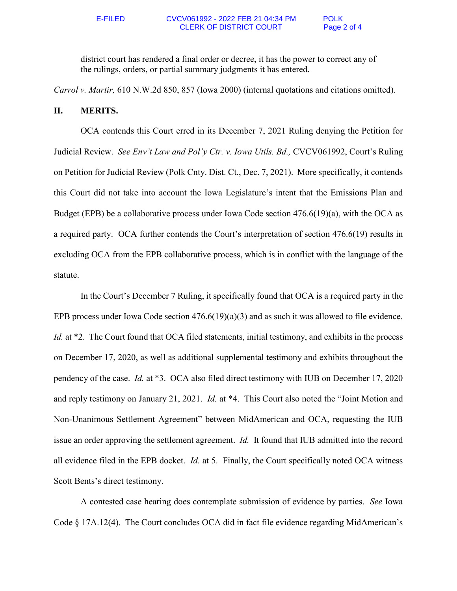district court has rendered a final order or decree, it has the power to correct any of the rulings, orders, or partial summary judgments it has entered.

*Carrol v. Martir,* 610 N.W.2d 850, 857 (Iowa 2000) (internal quotations and citations omitted).

### **II. MERITS.**

OCA contends this Court erred in its December 7, 2021 Ruling denying the Petition for Judicial Review. *See Env't Law and Pol'y Ctr. v. Iowa Utils. Bd.,* CVCV061992, Court's Ruling on Petition for Judicial Review (Polk Cnty. Dist. Ct., Dec. 7, 2021). More specifically, it contends this Court did not take into account the Iowa Legislature's intent that the Emissions Plan and Budget (EPB) be a collaborative process under Iowa Code section 476.6(19)(a), with the OCA as a required party. OCA further contends the Court's interpretation of section 476.6(19) results in excluding OCA from the EPB collaborative process, which is in conflict with the language of the statute.

 In the Court's December 7 Ruling, it specifically found that OCA is a required party in the EPB process under Iowa Code section 476.6(19)(a)(3) and as such it was allowed to file evidence. *Id.* at \*2. The Court found that OCA filed statements, initial testimony, and exhibits in the process on December 17, 2020, as well as additional supplemental testimony and exhibits throughout the pendency of the case. *Id.* at \*3. OCA also filed direct testimony with IUB on December 17, 2020 and reply testimony on January 21, 2021. *Id.* at \*4. This Court also noted the "Joint Motion and Non-Unanimous Settlement Agreement" between MidAmerican and OCA, requesting the IUB issue an order approving the settlement agreement. *Id.* It found that IUB admitted into the record all evidence filed in the EPB docket. *Id.* at 5. Finally, the Court specifically noted OCA witness Scott Bents's direct testimony.

A contested case hearing does contemplate submission of evidence by parties. *See* Iowa Code § 17A.12(4). The Court concludes OCA did in fact file evidence regarding MidAmerican's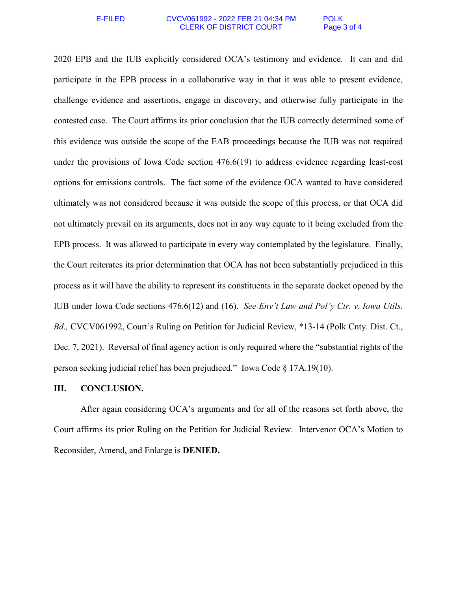### E-FILED CVCV061992 - 2022 FEB 21 04:34 PM POLK CLERK OF DISTRICT COURT Page 3 of 4

2020 EPB and the IUB explicitly considered OCA's testimony and evidence. It can and did participate in the EPB process in a collaborative way in that it was able to present evidence, challenge evidence and assertions, engage in discovery, and otherwise fully participate in the contested case. The Court affirms its prior conclusion that the IUB correctly determined some of this evidence was outside the scope of the EAB proceedings because the IUB was not required under the provisions of Iowa Code section 476.6(19) to address evidence regarding least-cost options for emissions controls. The fact some of the evidence OCA wanted to have considered ultimately was not considered because it was outside the scope of this process, or that OCA did not ultimately prevail on its arguments, does not in any way equate to it being excluded from the EPB process. It was allowed to participate in every way contemplated by the legislature. Finally, the Court reiterates its prior determination that OCA has not been substantially prejudiced in this process as it will have the ability to represent its constituents in the separate docket opened by the IUB under Iowa Code sections 476.6(12) and (16). *See Env't Law and Pol'y Ctr. v. Iowa Utils. Bd.,* CVCV061992, Court's Ruling on Petition for Judicial Review, \*13-14 (Polk Cnty. Dist. Ct., Dec. 7, 2021). Reversal of final agency action is only required where the "substantial rights of the person seeking judicial relief has been prejudiced." Iowa Code § 17A.19(10).

### **III. CONCLUSION.**

After again considering OCA's arguments and for all of the reasons set forth above, the Court affirms its prior Ruling on the Petition for Judicial Review. Intervenor OCA's Motion to Reconsider, Amend, and Enlarge is **DENIED.**